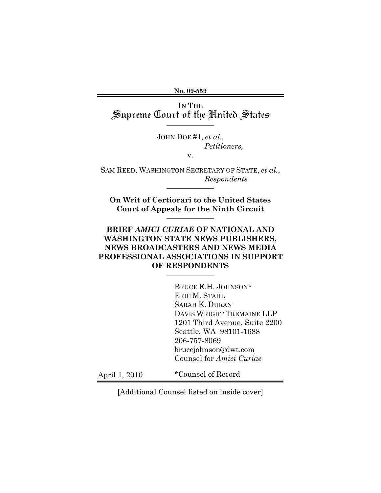**No. 09-559** 

IN THE<br>Supreme Court of the **H**nited States

 $\_$ 

JOHN DOE #1, *et al., Petitioners,* 

v.

SAM REED, WASHINGTON SECRETARY OF STATE, *et al.*, *Respondents*  $\mathcal{L}=\mathcal{L}$  , we can also the set of the set of the set of the set of the set of the set of the set of the set of the set of the set of the set of the set of the set of the set of the set of the set of the set of the s

**On Writ of Certiorari to the United States Court of Appeals for the Ninth Circuit**  $\mathcal{L}=\mathcal{L}$  , we can also the set of the set of the set of the set of the set of the set of the set of the set of the set of the set of the set of the set of the set of the set of the set of the set of the set of the s

### **BRIEF** *AMICI CURIAE* **OF NATIONAL AND WASHINGTON STATE NEWS PUBLISHERS, NEWS BROADCASTERS AND NEWS MEDIA PROFESSIONAL ASSOCIATIONS IN SUPPORT OF RESPONDENTS**

 $\_$ 

BRUCE E.H. JOHNSON\* ERIC M. STAHL SARAH K. DURAN DAVIS WRIGHT TREMAINE LLP 1201 Third Avenue, Suite 2200 Seattle, WA 98101-1688 206-757-8069 brucejohnson@dwt.com Counsel for *Amici Curiae* 

April 1, 2010

\*Counsel of Record

[Additional Counsel listed on inside cover]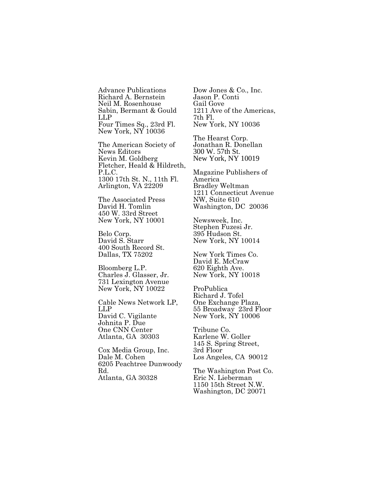Advance Publications Richard A. Bernstein Neil M. Rosenhouse Sabin, Bermant & Gould LLP Four Times Sq., 23rd Fl. New York, NY 10036

The American Society of News Editors Kevin M. Goldberg Fletcher, Heald & Hildreth, P.L.C. 1300 17th St. N., 11th Fl. Arlington, VA 22209

The Associated Press David H. Tomlin 450 W. 33rd Street New York, NY 10001

Belo Corp. David S. Starr 400 South Record St. Dallas, TX 75202

Bloomberg L.P. Charles J. Glasser, Jr. 731 Lexington Avenue New York, NY 10022

Cable News Network LP, LLP David C. Vigilante Johnita P. Due One CNN Center Atlanta, GA 30303

Cox Media Group, Inc. Dale M. Cohen 6205 Peachtree Dunwoody Rd. Atlanta, GA 30328

Dow Jones & Co., Inc. Jason P. Conti Gail Gove 1211 Ave of the Americas, 7th Fl. New York, NY 10036

The Hearst Corp. Jonathan R. Donellan 300 W. 57th St. New York, NY 10019

Magazine Publishers of America Bradley Weltman 1211 Connecticut Avenue NW, Suite 610 Washington, DC 20036

Newsweek, Inc. Stephen Fuzesi Jr. 395 Hudson St. New York, NY 10014

New York Times Co. David E. McCraw 620 Eighth Ave. New York, NY 10018

ProPublica Richard J. Tofel One Exchange Plaza, 55 Broadway 23rd Floor New York, NY 10006

Tribune Co. Karlene W. Goller 145 S. Spring Street, 3rd Floor Los Angeles, CA 90012

The Washington Post Co. Eric N. Lieberman 1150 15th Street N.W. Washington, DC 20071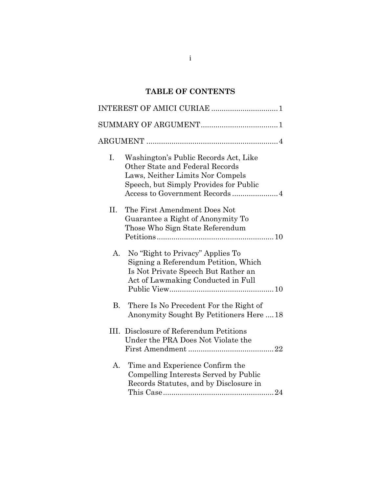# **TABLE OF CONTENTS**

| Ι. | Washington's Public Records Act, Like<br>Other State and Federal Records<br>Laws, Neither Limits Nor Compels<br>Speech, but Simply Provides for Public<br>Access to Government Records4 |
|----|-----------------------------------------------------------------------------------------------------------------------------------------------------------------------------------------|
| Η. | The First Amendment Does Not<br>Guarantee a Right of Anonymity To<br>Those Who Sign State Referendum                                                                                    |
| A. | No "Right to Privacy" Applies To<br>Signing a Referendum Petition, Which<br>Is Not Private Speech But Rather an<br>Act of Lawmaking Conducted in Full                                   |
| В. | There Is No Precedent For the Right of<br>Anonymity Sought By Petitioners Here  18                                                                                                      |
|    | III. Disclosure of Referendum Petitions<br>Under the PRA Does Not Violate the                                                                                                           |
| А. | Time and Experience Confirm the<br>Compelling Interests Served by Public<br>Records Statutes, and by Disclosure in                                                                      |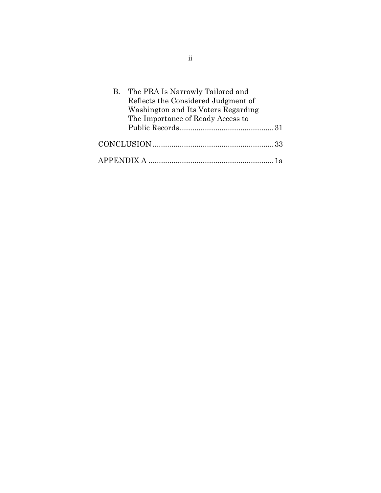| B. The PRA Is Narrowly Tailored and |  |
|-------------------------------------|--|
| Reflects the Considered Judgment of |  |
| Washington and Its Voters Regarding |  |
| The Importance of Ready Access to   |  |
|                                     |  |
|                                     |  |
|                                     |  |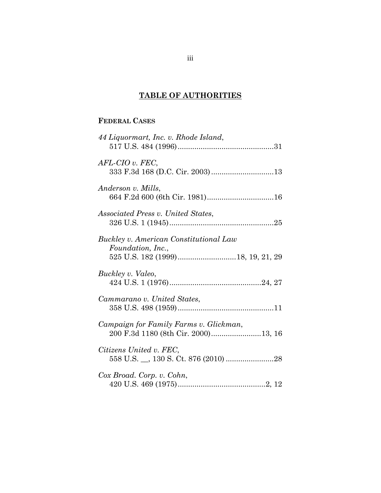# **TABLE OF AUTHORITIES**

### **FEDERAL CASES**

| 44 Liquormart, Inc. v. Rhode Island,                                          |
|-------------------------------------------------------------------------------|
| $AFL-CIO$ v. $FEC$ ,                                                          |
| Anderson v. Mills,                                                            |
| <i>Associated Press v. United States,</i>                                     |
| Buckley v. American Constitutional Law<br>Foundation, Inc.,                   |
| Buckley v. Valeo,                                                             |
| Cammarano v. United States,                                                   |
| Campaign for Family Farms v. Glickman,<br>200 F.3d 1180 (8th Cir. 2000)13, 16 |
| Citizens United v. FEC,                                                       |
| Cox Broad. Corp. v. Cohn,                                                     |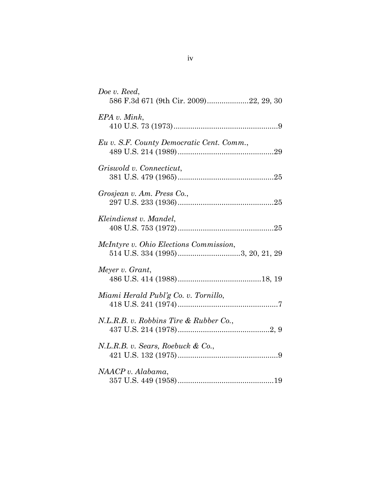| Doe v. Reed,<br>586 F.3d 671 (9th Cir. 2009)22, 29, 30                     |
|----------------------------------------------------------------------------|
| EPA v. Mink,                                                               |
| Eu v. S.F. County Democratic Cent. Comm.,                                  |
| Griswold v. Connecticut,                                                   |
| Grosjean v. Am. Press Co.,                                                 |
| Kleindienst v. Mandel,                                                     |
| McIntyre v. Ohio Elections Commission,<br>514 U.S. 334 (1995)3, 20, 21, 29 |
| Meyer v. Grant,                                                            |
| Miami Herald Publ'g Co. v. Tornillo,                                       |
| N.L.R.B. v. Robbins Tire & Rubber Co.,                                     |
| N.L.R.B. v. Sears, Roebuck & Co.,                                          |
| NAACP v. Alabama,                                                          |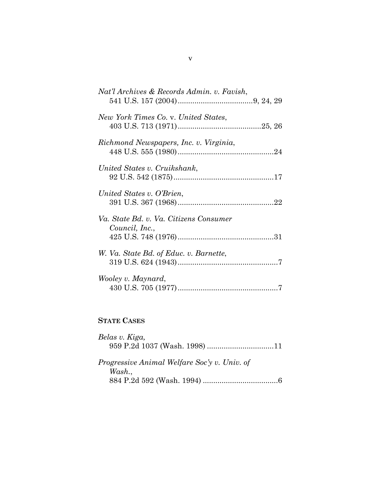| Nat'l Archives & Records Admin. v. Favish,               |
|----------------------------------------------------------|
| New York Times Co. v. United States,                     |
| Richmond Newspapers, Inc. v. Virginia,                   |
| United States v. Cruikshank,                             |
| United States v. O'Brien,                                |
| Va. State Bd. v. Va. Citizens Consumer<br>Council, Inc., |
| W. Va. State Bd. of Educ. v. Barnette,                   |
| Wooley v. Maynard,                                       |

# **STATE CASES**

| Belas v. Kiga,                               |  |
|----------------------------------------------|--|
|                                              |  |
|                                              |  |
| Progressive Animal Welfare Soc'y v. Univ. of |  |
| Wash.                                        |  |
|                                              |  |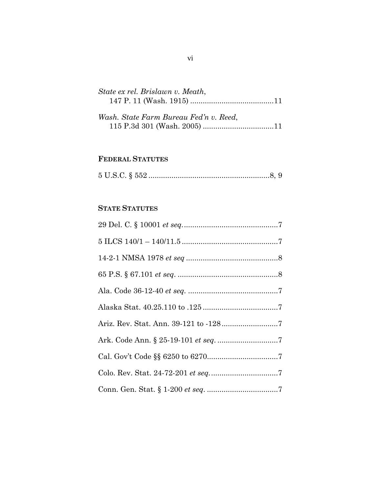| State ex rel. Brislawn v. Meath,    |  |
|-------------------------------------|--|
|                                     |  |
|                                     |  |
| Wash State Farm Bureau Fed'n y Reed |  |

| wasn. State Farm Bureau Fea n v. Keea, |  |  |
|----------------------------------------|--|--|
|                                        |  |  |

## **FEDERAL STATUTES**

|--|--|--|--|--|

# **STATE STATUTES**

| $5\ {\rm ILCS}\ 140/1-140/11.5\ {.\,.\,.\,.\,.\,.\,.\,.\,.\,.\,.\,.\,.\,.\,.\,.\,.\,.\,}. \ 7$ |
|------------------------------------------------------------------------------------------------|
|                                                                                                |
|                                                                                                |
|                                                                                                |
|                                                                                                |
|                                                                                                |
|                                                                                                |
|                                                                                                |
|                                                                                                |
|                                                                                                |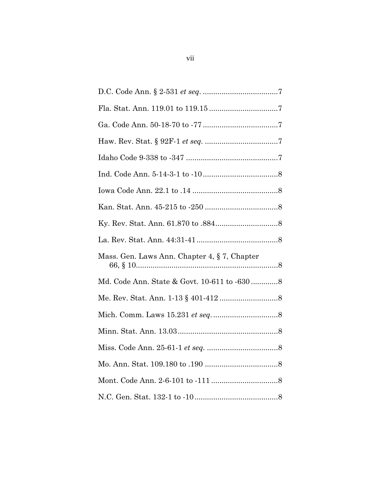| Mass. Gen. Laws Ann. Chapter 4, § 7, Chapter |
|----------------------------------------------|
| Md. Code Ann. State & Govt. 10-611 to -6308  |
|                                              |
|                                              |
|                                              |
|                                              |
|                                              |
|                                              |
|                                              |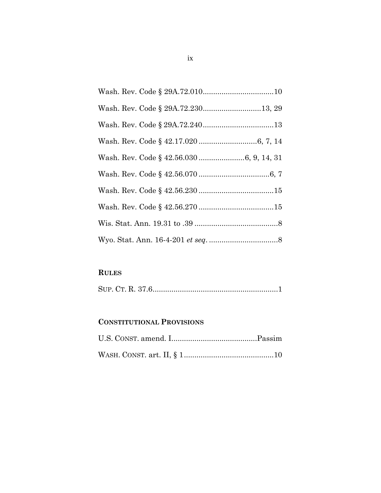| Wash. Rev. Code § 29A.72.23013, 29 |
|------------------------------------|
|                                    |
|                                    |
|                                    |
|                                    |
|                                    |
|                                    |
|                                    |
|                                    |

# **RULES**

|--|

# **CONSTITUTIONAL PROVISIONS**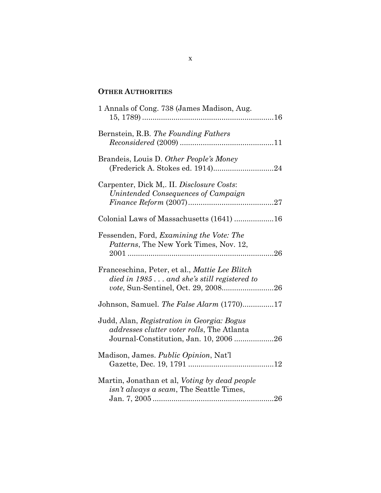### **OTHER AUTHORITIES**

| 1 Annals of Cong. 738 (James Madison, Aug.                                                                                                 |
|--------------------------------------------------------------------------------------------------------------------------------------------|
| Bernstein, R.B. The Founding Fathers                                                                                                       |
| Brandeis, Louis D. Other People's Money<br>(Frederick A. Stokes ed. 1914)24                                                                |
| Carpenter, Dick M., II. Disclosure Costs:<br>Unintended Consequences of Campaign                                                           |
| Colonial Laws of Massachusetts (1641) 16                                                                                                   |
| Fessenden, Ford, Examining the Vote: The<br>Patterns, The New York Times, Nov. 12,                                                         |
| Franceschina, Peter, et al., Mattie Lee Blitch<br>$\mu$ died in 1985 and she's still registered to<br>vote, Sun-Sentinel, Oct. 29, 200826  |
| Johnson, Samuel. The False Alarm (1770)17                                                                                                  |
| Judd, Alan, Registration in Georgia: Bogus<br><i>addresses clutter voter rolls</i> , The Atlanta<br>Journal-Constitution, Jan. 10, 2006 26 |
| Madison, James. Public Opinion, Nat'l                                                                                                      |
| Martin, Jonathan et al, Voting by dead people<br><i>isn't always a scam</i> , The Seattle Times,                                           |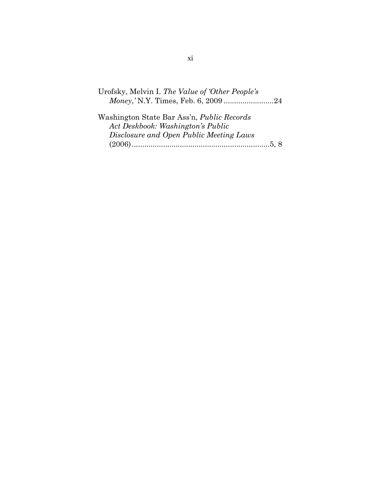Urofsky, Melvin I. *The Value of 'Other People's Money*,*'* N.Y. Times, Feb. 6, 2009 ........................24

Washington State Bar Ass'n, *Public Records Act Deskbook: Washington's Public Disclosure and Open Public Meeting Laws* (2006)..................................................................5, 8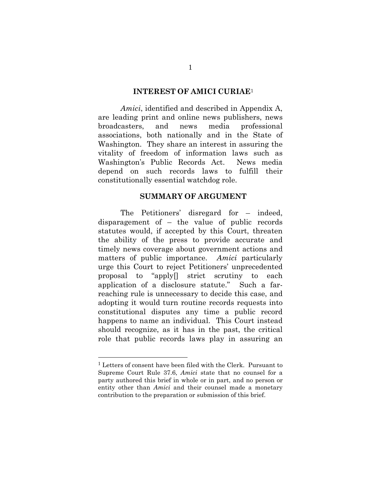#### **INTEREST OF AMICI CURIAE**<sup>1</sup>

*Amici*, identified and described in Appendix A, are leading print and online news publishers, news broadcasters, and news media professional associations, both nationally and in the State of Washington. They share an interest in assuring the vitality of freedom of information laws such as Washington's Public Records Act. News media depend on such records laws to fulfill their constitutionally essential watchdog role.

### **SUMMARY OF ARGUMENT**

The Petitioners' disregard for – indeed, disparagement of – the value of public records statutes would, if accepted by this Court, threaten the ability of the press to provide accurate and timely news coverage about government actions and matters of public importance. *Amici* particularly urge this Court to reject Petitioners' unprecedented proposal to "apply[] strict scrutiny to each application of a disclosure statute." Such a farreaching rule is unnecessary to decide this case, and adopting it would turn routine records requests into constitutional disputes any time a public record happens to name an individual. This Court instead should recognize, as it has in the past, the critical role that public records laws play in assuring an

<sup>1</sup> Letters of consent have been filed with the Clerk. Pursuant to Supreme Court Rule 37.6, *Amici* state that no counsel for a party authored this brief in whole or in part, and no person or entity other than *Amici* and their counsel made a monetary contribution to the preparation or submission of this brief.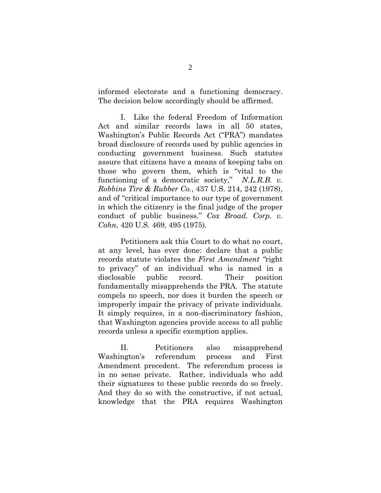informed electorate and a functioning democracy. The decision below accordingly should be affirmed.

I. Like the federal Freedom of Information Act and similar records laws in all 50 states, Washington's Public Records Act ("PRA") mandates broad disclosure of records used by public agencies in conducting government business. Such statutes assure that citizens have a means of keeping tabs on those who govern them, which is "vital to the functioning of a democratic society," *N.L.R.B. v. Robbins Tire & Rubber Co.*, 437 U.S. 214, 242 (1978), and of "critical importance to our type of government in which the citizenry is the final judge of the proper conduct of public business." *Cox Broad. Corp. v. Cohn*, 420 U.S. 469, 495 (1975).

Petitioners ask this Court to do what no court, at any level, has ever done: declare that a public records statute violates the *First Amendment "*right to privacy" of an individual who is named in a disclosable public record. Their position fundamentally misapprehends the PRA. The statute compels no speech, nor does it burden the speech or improperly impair the privacy of private individuals. It simply requires, in a non-discriminatory fashion, that Washington agencies provide access to all public records unless a specific exemption applies.

II. Petitioners also misapprehend Washington's referendum process and First Amendment precedent. The referendum process is in no sense private. Rather, individuals who add their signatures to these public records do so freely. And they do so with the constructive, if not actual, knowledge that the PRA requires Washington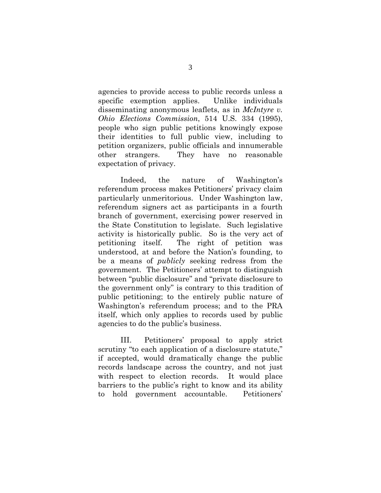agencies to provide access to public records unless a specific exemption applies. Unlike individuals disseminating anonymous leaflets, as in *McIntyre v. Ohio Elections Commission*, 514 U.S. 334 (1995), people who sign public petitions knowingly expose their identities to full public view, including to petition organizers, public officials and innumerable other strangers. They have no reasonable expectation of privacy.

Indeed, the nature of Washington's referendum process makes Petitioners' privacy claim particularly unmeritorious. Under Washington law, referendum signers act as participants in a fourth branch of government, exercising power reserved in the State Constitution to legislate. Such legislative activity is historically public. So is the very act of petitioning itself. The right of petition was understood, at and before the Nation's founding, to be a means of *publicly* seeking redress from the government. The Petitioners' attempt to distinguish between "public disclosure" and "private disclosure to the government only" is contrary to this tradition of public petitioning; to the entirely public nature of Washington's referendum process; and to the PRA itself, which only applies to records used by public agencies to do the public's business.

III. Petitioners' proposal to apply strict scrutiny "to each application of a disclosure statute," if accepted, would dramatically change the public records landscape across the country, and not just with respect to election records. It would place barriers to the public's right to know and its ability to hold government accountable. Petitioners'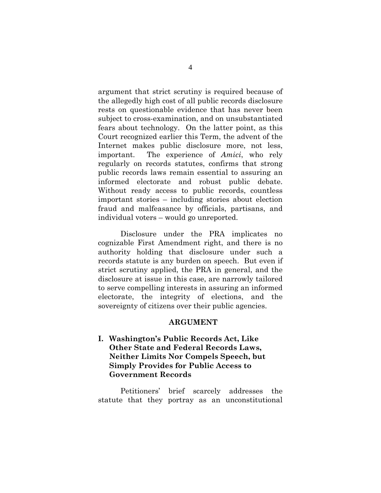argument that strict scrutiny is required because of the allegedly high cost of all public records disclosure rests on questionable evidence that has never been subject to cross-examination, and on unsubstantiated fears about technology. On the latter point, as this Court recognized earlier this Term, the advent of the Internet makes public disclosure more, not less, important. The experience of *Amici*, who rely regularly on records statutes, confirms that strong public records laws remain essential to assuring an informed electorate and robust public debate. Without ready access to public records, countless important stories – including stories about election fraud and malfeasance by officials, partisans, and individual voters – would go unreported.

Disclosure under the PRA implicates no cognizable First Amendment right, and there is no authority holding that disclosure under such a records statute is any burden on speech. But even if strict scrutiny applied, the PRA in general, and the disclosure at issue in this case, are narrowly tailored to serve compelling interests in assuring an informed electorate, the integrity of elections, and the sovereignty of citizens over their public agencies.

#### **ARGUMENT**

**I. Washington's Public Records Act, Like Other State and Federal Records Laws, Neither Limits Nor Compels Speech, but Simply Provides for Public Access to Government Records** 

Petitioners' brief scarcely addresses the statute that they portray as an unconstitutional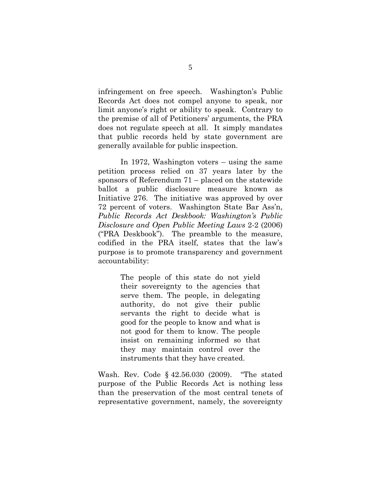infringement on free speech. Washington's Public Records Act does not compel anyone to speak, nor limit anyone's right or ability to speak. Contrary to the premise of all of Petitioners' arguments, the PRA does not regulate speech at all. It simply mandates that public records held by state government are generally available for public inspection.

In 1972, Washington voters – using the same petition process relied on 37 years later by the sponsors of Referendum 71 – placed on the statewide ballot a public disclosure measure known as Initiative 276. The initiative was approved by over 72 percent of voters. Washington State Bar Ass'n, *Public Records Act Deskbook: Washington's Public Disclosure and Open Public Meeting Laws* 2-2 (2006) ("PRA Deskbook"). The preamble to the measure, codified in the PRA itself, states that the law's purpose is to promote transparency and government accountability:

> The people of this state do not yield their sovereignty to the agencies that serve them. The people, in delegating authority, do not give their public servants the right to decide what is good for the people to know and what is not good for them to know. The people insist on remaining informed so that they may maintain control over the instruments that they have created.

Wash. Rev. Code § 42.56.030 (2009). "The stated purpose of the Public Records Act is nothing less than the preservation of the most central tenets of representative government, namely, the sovereignty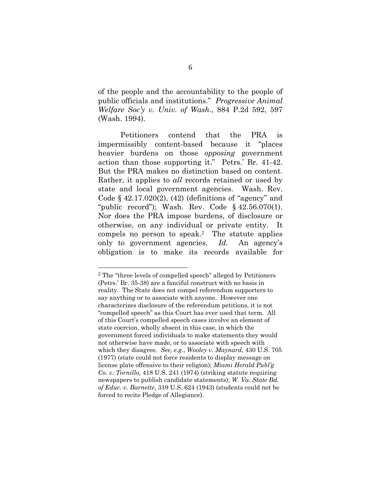of the people and the accountability to the people of public officials and institutions." *Progressive Animal Welfare Soc'y v. Univ. of Wash.*, 884 P.2d 592, 597 (Wash. 1994).

Petitioners contend that the PRA is impermissibly content-based because it "places heavier burdens on those *opposing* government action than those supporting it." Petrs.' Br. 41-42. But the PRA makes no distinction based on content. Rather, it applies to *all* records retained or used by state and local government agencies. Wash. Rev. Code  $\S$  42.17.020(2), (42) (definitions of "agency" and "public record"); Wash. Rev. Code § 42.56.070(1). Nor does the PRA impose burdens, of disclosure or otherwise, on any individual or private entity. It compels no person to speak.2 The statute applies only to government agencies. *Id*. An agency's obligation is to make its records available for

<sup>2</sup> The "three levels of compelled speech" alleged by Petitioners (Petrs.' Br. 35-38) are a fanciful construct with no basis in reality. The State does not compel referendum supporters to say anything or to associate with anyone. However one characterizes disclosure of the referendum petitions, it is not "compelled speech" as this Court has ever used that term. All of this Court's compelled speech cases involve an element of state coercion, wholly absent in this case, in which the government forced individuals to make statements they would not otherwise have made, or to associate with speech with which they disagree. *See, e.g.*, *Wooley v. Maynard*, 430 U.S. 705 (1977) (state could not force residents to display message on license plate offensive to their religion); *Miami Herald Publ'g Co. v. Tornillo*, 418 U.S. 241 (1974) (striking statute requiring newspapers to publish candidate statements); *W. Va. State Bd. of Educ. v. Barnette*, 319 U.S. 624 (1943) (students could not be forced to recite Pledge of Allegiance).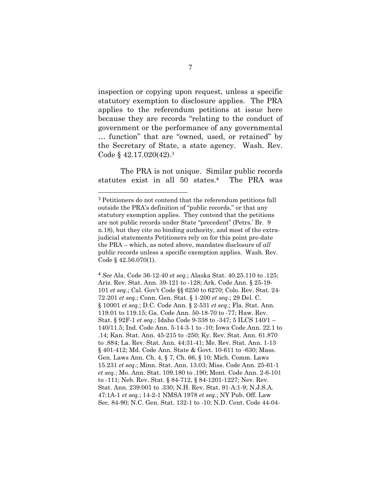inspection or copying upon request, unless a specific statutory exemption to disclosure applies. The PRA applies to the referendum petitions at issue here because they are records "relating to the conduct of government or the performance of any governmental … function" that are "owned, used, or retained" by the Secretary of State, a state agency. Wash. Rev. Code § 42.17.020(42).<sup>3</sup>

The PRA is not unique. Similar public records statutes exist in all 50 states.4 The PRA was

l

4 *See* Ala. Code 36-12-40 *et seq.*; Alaska Stat. 40.25.110 to .125; Ariz. Rev. Stat. Ann. 39-121 to -128; Ark. Code Ann. § 25-19- 101 *et seq*.; Cal. Gov't Code §§ 6250 to 6270; Colo. Rev. Stat. 24- 72-201 *et seq.*; Conn. Gen. Stat. § 1-200 *et seq*.; 29 Del. C. § 10001 *et seq.*; D.C. Code Ann. § 2-531 *et seq*.; Fla. Stat. Ann. 119.01 to 119.15; Ga. Code Ann. 50-18-70 to -77; Haw. Rev. Stat. § 92F-1 *et seq.*; Idaho Code 9-338 to -347; 5 ILCS 140/1 – 140/11.5; Ind. Code Ann. 5-14-3-1 to -10; Iowa Code Ann. 22.1 to .14; Kan. Stat. Ann. 45-215 to -250; Ky. Rev. Stat. Ann. 61.870 to .884; La. Rev. Stat. Ann. 44:31-41; Me. Rev. Stat. Ann. 1-13 § 401-412; Md. Code Ann. State & Govt. 10-611 to -630; Mass. Gen. Laws Ann. Ch. 4, § 7, Ch. 66, § 10; Mich. Comm. Laws 15.231 *et seq*.; Minn. Stat. Ann. 13.03; Miss. Code Ann. 25-61-1 *et seq.*; Mo. Ann. Stat. 109.180 to .190; Mont. Code Ann. 2-6-101 to -111; Neb. Rev. Stat. § 84-712, § 84-1201-1227; Nev. Rev. Stat. Ann. 239.001 to .330; N.H. Rev. Stat. 91-A:1-9; N.J.S.A. 47:1A-1 *et seq.*; 14-2-1 NMSA 1978 *et seq*.; NY Pub. Off. Law Sec. 84-90; N.C. Gen. Stat. 132-1 to -10; N.D. Cent. Code 44-04-

<sup>3</sup> Petitioners do not contend that the referendum petitions fall outside the PRA's definition of "public records," or that any statutory exemption applies. They contend that the petitions are not public records under State "precedent" (Petrs.' Br. 9 n.18), but they cite no binding authority, and most of the extrajudicial statements Petitioners rely on for this point pre-date the PRA – which, as noted above, mandates disclosure of *all* public records unless a specific exemption applies. Wash. Rev. Code § 42.56.070(1).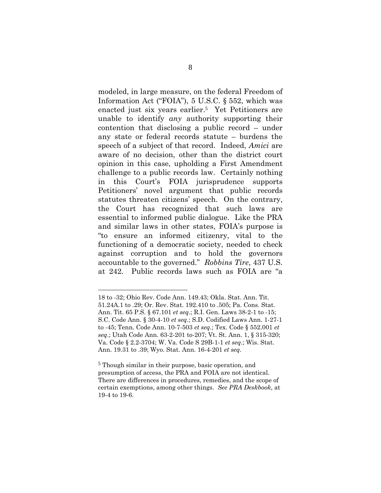modeled, in large measure, on the federal Freedom of Information Act ("FOIA"), 5 U.S.C. § 552, which was enacted just six years earlier.5 Yet Petitioners are unable to identify *any* authority supporting their contention that disclosing a public record – under any state or federal records statute – burdens the speech of a subject of that record. Indeed, *Amici* are aware of no decision, other than the district court opinion in this case, upholding a First Amendment challenge to a public records law. Certainly nothing in this Court's FOIA jurisprudence supports Petitioners' novel argument that public records statutes threaten citizens' speech. On the contrary, the Court has recognized that such laws are essential to informed public dialogue. Like the PRA and similar laws in other states, FOIA's purpose is "to ensure an informed citizenry, vital to the functioning of a democratic society, needed to check against corruption and to hold the governors accountable to the governed." *Robbins Tire*, 437 U.S. at 242. Public records laws such as FOIA are "a

<sup>18</sup> to -32; Ohio Rev. Code Ann. 149.43; Okla. Stat. Ann. Tit. 51.24A.1 to .29; Or. Rev. Stat. 192.410 to .505; Pa. Cons. Stat. Ann. Tit. 65 P.S. § 67.101 *et seq*.; R.I. Gen. Laws 38-2-1 to -15; S.C. Code Ann. § 30-4-10 *et seq*.; S.D. Codified Laws Ann. 1-27-1 to -45; Tenn. Code Ann. 10-7-503 *et seq.*; Tex. Code § 552.001 *et seq*.; Utah Code Ann. 63-2-201 to-207; Vt. St. Ann. 1, § 315-320; Va. Code § 2.2-3704; W. Va. Code S 29B-1-1 *et seq*.; Wis. Stat. Ann. 19.31 to .39; Wyo. Stat. Ann. 16-4-201 *et seq*.

<sup>5</sup> Though similar in their purpose, basic operation, and presumption of access, the PRA and FOIA are not identical. There are differences in procedures, remedies, and the scope of certain exemptions, among other things. *See PRA Deskbook*, at 19-4 to 19-6.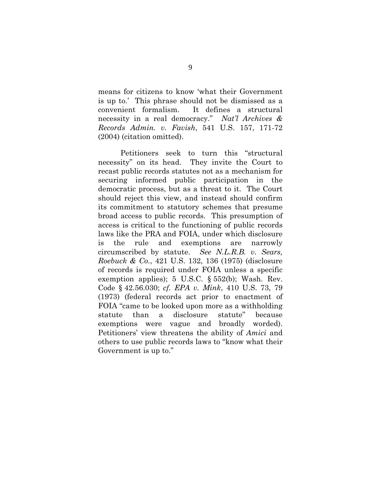means for citizens to know 'what their Government is up to.' This phrase should not be dismissed as a convenient formalism. It defines a structural necessity in a real democracy." *Nat'l Archives & Records Admin. v. Favish*, 541 U.S. 157, 171-72 (2004) (citation omitted).

Petitioners seek to turn this "structural necessity" on its head. They invite the Court to recast public records statutes not as a mechanism for securing informed public participation in the democratic process, but as a threat to it. The Court should reject this view, and instead should confirm its commitment to statutory schemes that presume broad access to public records. This presumption of access is critical to the functioning of public records laws like the PRA and FOIA, under which disclosure is the rule and exemptions are narrowly circumscribed by statute. *See N.L.R.B. v. Sears, Roebuck & Co.*, 421 U.S. 132, 136 (1975) (disclosure of records is required under FOIA unless a specific exemption applies); 5 U.S.C. § 552(b); Wash. Rev. Code § 42.56.030; *cf. EPA v. Mink*, 410 U.S. 73, 79 (1973) (federal records act prior to enactment of FOIA "came to be looked upon more as a withholding statute than a disclosure statute" because exemptions were vague and broadly worded). Petitioners' view threatens the ability of *Amici* and others to use public records laws to "know what their Government is up to."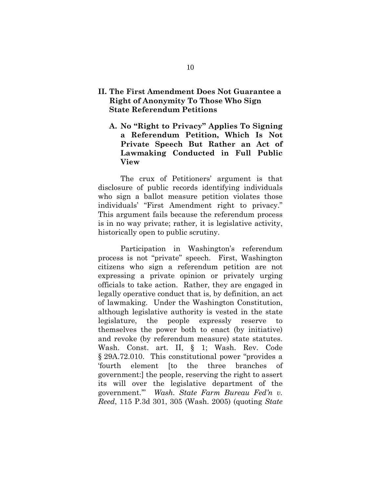### **II. The First Amendment Does Not Guarantee a Right of Anonymity To Those Who Sign State Referendum Petitions**

**A. No "Right to Privacy" Applies To Signing a Referendum Petition, Which Is Not Private Speech But Rather an Act of Lawmaking Conducted in Full Public View** 

The crux of Petitioners' argument is that disclosure of public records identifying individuals who sign a ballot measure petition violates those individuals' "First Amendment right to privacy." This argument fails because the referendum process is in no way private; rather, it is legislative activity, historically open to public scrutiny.

Participation in Washington's referendum process is not "private" speech. First, Washington citizens who sign a referendum petition are not expressing a private opinion or privately urging officials to take action. Rather, they are engaged in legally operative conduct that is, by definition, an act of lawmaking. Under the Washington Constitution, although legislative authority is vested in the state legislature, the people expressly reserve to themselves the power both to enact (by initiative) and revoke (by referendum measure) state statutes. Wash. Const. art. II, § 1; Wash. Rev. Code § 29A.72.010. This constitutional power "provides a 'fourth element [to the three branches of government:] the people, reserving the right to assert its will over the legislative department of the government.'" *Wash. State Farm Bureau Fed'n v. Reed*, 115 P.3d 301, 305 (Wash. 2005) (quoting *State*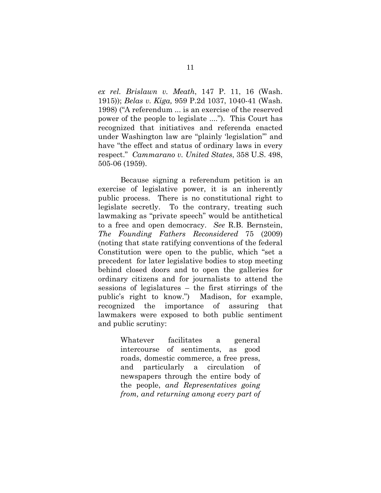*ex rel. Brislawn v. Meath*, 147 P. 11, 16 (Wash. 1915)); *Belas v. Kiga,* 959 P.2d 1037, 1040-41 (Wash. 1998) ("A referendum ... is an exercise of the reserved power of the people to legislate ...."). This Court has recognized that initiatives and referenda enacted under Washington law are "plainly 'legislation'" and have "the effect and status of ordinary laws in every respect." *Cammarano v. United States*, 358 U.S. 498, 505-06 (1959).

Because signing a referendum petition is an exercise of legislative power, it is an inherently public process. There is no constitutional right to legislate secretly. To the contrary, treating such lawmaking as "private speech" would be antithetical to a free and open democracy. *See* R.B. Bernstein, *The Founding Fathers Reconsidered* 75 (2009) (noting that state ratifying conventions of the federal Constitution were open to the public, which "set a precedent for later legislative bodies to stop meeting behind closed doors and to open the galleries for ordinary citizens and for journalists to attend the sessions of legislatures – the first stirrings of the public's right to know.") Madison, for example, recognized the importance of assuring that lawmakers were exposed to both public sentiment and public scrutiny:

> Whatever facilitates a general intercourse of sentiments, as good roads, domestic commerce, a free press, and particularly a circulation of newspapers through the entire body of the people, *and Representatives going from, and returning among every part of*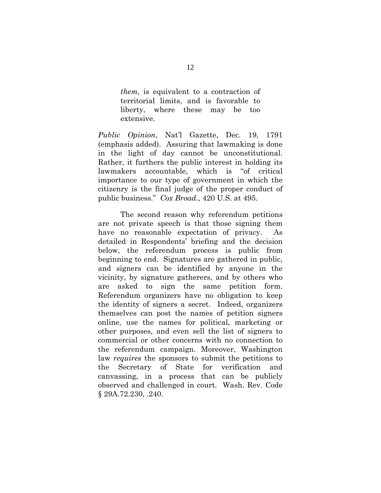*them*, is equivalent to a contraction of territorial limits, and is favorable to liberty, where these may be too extensive.

*Public Opinion*, Nat'l Gazette, Dec. 19, 1791 (emphasis added). Assuring that lawmaking is done in the light of day cannot be unconstitutional. Rather, it furthers the public interest in holding its lawmakers accountable, which is "of critical importance to our type of government in which the citizenry is the final judge of the proper conduct of public business." *Cox Broad.*, 420 U.S. at 495.

The second reason why referendum petitions are not private speech is that those signing them have no reasonable expectation of privacy. As detailed in Respondents' briefing and the decision below, the referendum process is public from beginning to end. Signatures are gathered in public, and signers can be identified by anyone in the vicinity, by signature gatherers, and by others who are asked to sign the same petition form. Referendum organizers have no obligation to keep the identity of signers a secret. Indeed, organizers themselves can post the names of petition signers online, use the names for political, marketing or other purposes, and even sell the list of signers to commercial or other concerns with no connection to the referendum campaign. Moreover, Washington law *requires* the sponsors to submit the petitions to the Secretary of State for verification and canvassing, in a process that can be publicly observed and challenged in court. Wash. Rev. Code § 29A.72.230, .240.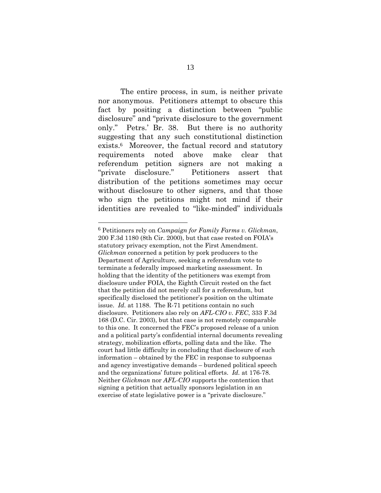The entire process, in sum, is neither private nor anonymous. Petitioners attempt to obscure this fact by positing a distinction between "public disclosure" and "private disclosure to the government only." Petrs.' Br. 38. But there is no authority suggesting that any such constitutional distinction exists.6 Moreover, the factual record and statutory requirements noted above make clear that referendum petition signers are not making a "private disclosure." Petitioners assert that distribution of the petitions sometimes may occur without disclosure to other signers, and that those who sign the petitions might not mind if their identities are revealed to "like-minded" individuals

<sup>6</sup> Petitioners rely on *Campaign for Family Farms v. Glickman*, 200 F.3d 1180 (8th Cir. 2000), but that case rested on FOIA's statutory privacy exemption, not the First Amendment. *Glickman* concerned a petition by pork producers to the Department of Agriculture, seeking a referendum vote to terminate a federally imposed marketing assessment. In holding that the identity of the petitioners was exempt from disclosure under FOIA, the Eighth Circuit rested on the fact that the petition did not merely call for a referendum, but specifically disclosed the petitioner's position on the ultimate issue. *Id.* at 1188. The R-71 petitions contain no such disclosure. Petitioners also rely on *AFL-CIO v. FEC*, 333 F.3d 168 (D.C. Cir. 2003), but that case is not remotely comparable to this one. It concerned the FEC's proposed release of a union and a political party's confidential internal documents revealing strategy, mobilization efforts, polling data and the like. The court had little difficulty in concluding that disclosure of such information – obtained by the FEC in response to subpoenas and agency investigative demands – burdened political speech and the organizations' future political efforts. *Id.* at 176-78. Neither *Glickman* nor *AFL-CIO* supports the contention that signing a petition that actually sponsors legislation in an exercise of state legislative power is a "private disclosure."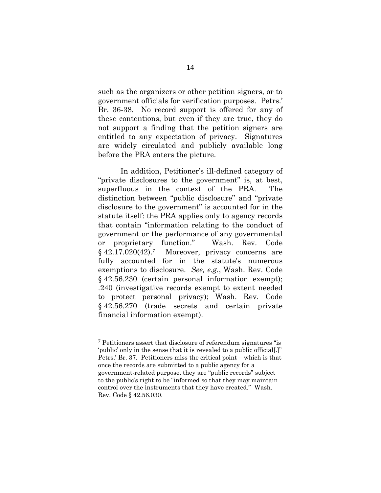such as the organizers or other petition signers, or to government officials for verification purposes. Petrs.' Br. 36-38. No record support is offered for any of these contentions, but even if they are true, they do not support a finding that the petition signers are entitled to any expectation of privacy. Signatures are widely circulated and publicly available long before the PRA enters the picture.

In addition, Petitioner's ill-defined category of "private disclosures to the government" is, at best, superfluous in the context of the PRA. The distinction between "public disclosure" and "private disclosure to the government" is accounted for in the statute itself: the PRA applies only to agency records that contain "information relating to the conduct of government or the performance of any governmental or proprietary function." Wash. Rev. Code § 42.17.020(42).7 Moreover, privacy concerns are fully accounted for in the statute's numerous exemptions to disclosure. *See, e.g.*, Wash. Rev. Code § 42.56.230 (certain personal information exempt); .240 (investigative records exempt to extent needed to protect personal privacy); Wash. Rev. Code § 42.56.270 (trade secrets and certain private financial information exempt).

<sup>7</sup> Petitioners assert that disclosure of referendum signatures "is 'public' only in the sense that it is revealed to a public official[.]" Petrs.' Br. 37. Petitioners miss the critical point – which is that once the records are submitted to a public agency for a government-related purpose, they are "public records" subject to the public's right to be "informed so that they may maintain control over the instruments that they have created." Wash. Rev. Code § 42.56.030.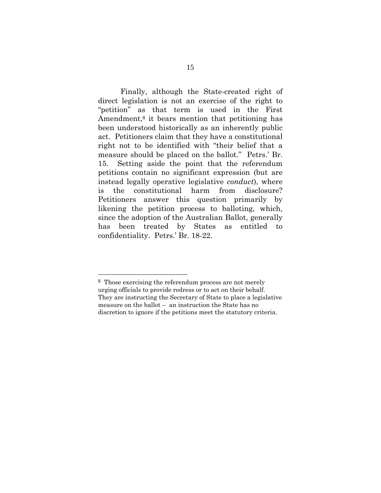Finally, although the State-created right of direct legislation is not an exercise of the right to "petition" as that term is used in the First Amendment,<sup>8</sup> it bears mention that petitioning has been understood historically as an inherently public act. Petitioners claim that they have a constitutional right not to be identified with "their belief that a measure should be placed on the ballot." Petrs.' Br. 15. Setting aside the point that the referendum petitions contain no significant expression (but are instead legally operative legislative *conduct*), where is the constitutional harm from disclosure? Petitioners answer this question primarily by likening the petition process to balloting, which, since the adoption of the Australian Ballot, generally has been treated by States as entitled to confidentiality. Petrs.' Br. 18-22.

<sup>8</sup> Those exercising the referendum process are not merely urging officials to provide redress or to act on their behalf. They are instructing the Secretary of State to place a legislative measure on the ballot – an instruction the State has no discretion to ignore if the petitions meet the statutory criteria.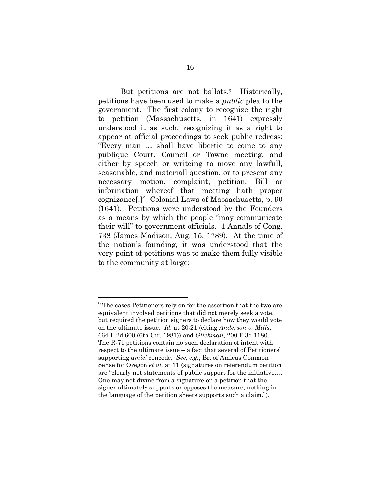But petitions are not ballots.<sup>9</sup> Historically, petitions have been used to make a *public* plea to the government. The first colony to recognize the right to petition (Massachusetts, in 1641) expressly understood it as such, recognizing it as a right to appear at official proceedings to seek public redress: "Every man … shall have libertie to come to any publique Court, Council or Towne meeting, and either by speech or writeing to move any lawfull, seasonable, and materiall question, or to present any necessary motion, complaint, petition, Bill or information whereof that meeting hath proper cognizance[.]" Colonial Laws of Massachusetts, p. 90 (1641). Petitions were understood by the Founders as a means by which the people "may communicate their will" to government officials. 1 Annals of Cong. 738 (James Madison, Aug. 15, 1789). At the time of the nation's founding, it was understood that the very point of petitions was to make them fully visible to the community at large:

<sup>9</sup> The cases Petitioners rely on for the assertion that the two are equivalent involved petitions that did not merely seek a vote, but required the petition signers to declare how they would vote on the ultimate issue. *Id.* at 20-21 (citing *Anderson v. Mills*, 664 F.2d 600 (6th Cir. 1981)) and *Glickman*, 200 F.3d 1180. The R-71 petitions contain no such declaration of intent with respect to the ultimate issue – a fact that several of Petitioners' supporting *amici* concede. *See, e.g.*, Br. of Amicus Common Sense for Oregon *et al.* at 11 (signatures on referendum petition are "clearly not statements of public support for the initiative…. One may not divine from a signature on a petition that the signer ultimately supports or opposes the measure; nothing in the language of the petition sheets supports such a claim.").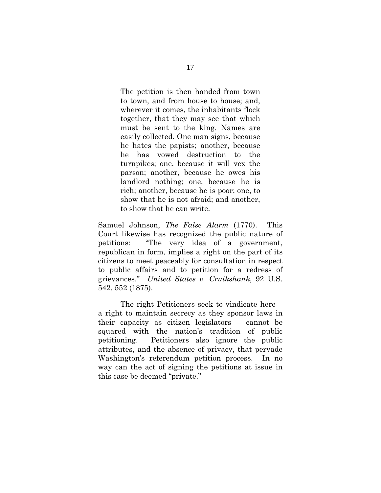The petition is then handed from town to town, and from house to house; and, wherever it comes, the inhabitants flock together, that they may see that which must be sent to the king. Names are easily collected. One man signs, because he hates the papists; another, because he has vowed destruction to the turnpikes; one, because it will vex the parson; another, because he owes his landlord nothing; one, because he is rich; another, because he is poor; one, to show that he is not afraid; and another, to show that he can write.

Samuel Johnson, *The False Alarm* (1770). This Court likewise has recognized the public nature of petitions: "The very idea of a government, republican in form, implies a right on the part of its citizens to meet peaceably for consultation in respect to public affairs and to petition for a redress of grievances." *United States v. Cruikshank*, 92 U.S. 542, 552 (1875).

The right Petitioners seek to vindicate here – a right to maintain secrecy as they sponsor laws in their capacity as citizen legislators – cannot be squared with the nation's tradition of public petitioning. Petitioners also ignore the public attributes, and the absence of privacy, that pervade Washington's referendum petition process. In no way can the act of signing the petitions at issue in this case be deemed "private."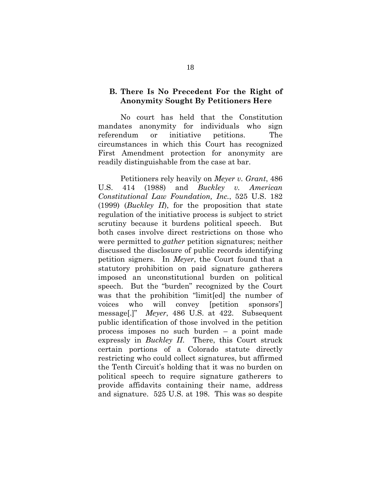### **B. There Is No Precedent For the Right of Anonymity Sought By Petitioners Here**

No court has held that the Constitution mandates anonymity for individuals who sign referendum or initiative petitions. The circumstances in which this Court has recognized First Amendment protection for anonymity are readily distinguishable from the case at bar.

Petitioners rely heavily on *Meyer v. Grant*, 486 U.S. 414 (1988) and *Buckley v. American Constitutional Law Foundation, Inc.*, 525 U.S. 182 (1999) (*Buckley II*), for the proposition that state regulation of the initiative process is subject to strict scrutiny because it burdens political speech. But both cases involve direct restrictions on those who were permitted to *gather* petition signatures; neither discussed the disclosure of public records identifying petition signers. In *Meyer*, the Court found that a statutory prohibition on paid signature gatherers imposed an unconstitutional burden on political speech. But the "burden" recognized by the Court was that the prohibition "limit[ed] the number of voices who will convey [petition sponsors'] message[.]" *Meyer*, 486 U.S. at 422. Subsequent public identification of those involved in the petition process imposes no such burden – a point made expressly in *Buckley II*. There, this Court struck certain portions of a Colorado statute directly restricting who could collect signatures, but affirmed the Tenth Circuit's holding that it was no burden on political speech to require signature gatherers to provide affidavits containing their name, address and signature. 525 U.S. at 198. This was so despite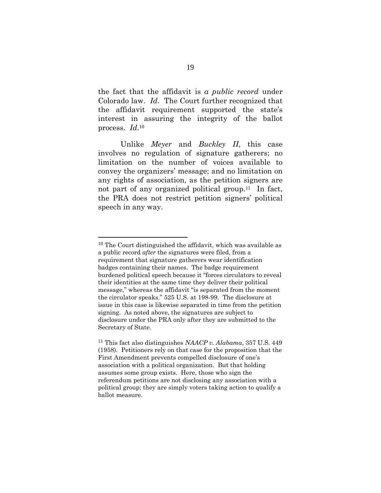the fact that the affidavit is *a public record* under Colorado law. *Id*. The Court further recognized that the affidavit requirement supported the state's interest in assuring the integrity of the ballot process. *Id*.<sup>10</sup>

Unlike *Meyer* and *Buckley II*, this case involves no regulation of signature gatherers; no limitation on the number of voices available to convey the organizers' message; and no limitation on any rights of association, as the petition signers are not part of any organized political group.<sup>11</sup> In fact, the PRA does not restrict petition signers' political speech in any way.

<sup>10</sup> The Court distinguished the affidavit, which was available as a public record *after* the signatures were filed, from a requirement that signature gatherers wear identification badges containing their names. The badge requirement burdened political speech because it "forces circulators to reveal their identities at the same time they deliver their political message," whereas the affidavit "is separated from the moment the circulator speaks." 525 U.S. at 198-99. The disclosure at issue in this case is likewise separated in time from the petition signing. As noted above, the signatures are subject to disclosure under the PRA only after they are submitted to the Secretary of State.

<sup>11</sup> This fact also distinguishes *NAACP v. Alabama*, 357 U.S. 449 (1958). Petitioners rely on that case for the proposition that the First Amendment prevents compelled disclosure of one's association with a political organization. But that holding assumes some group exists. Here, those who sign the referendum petitions are not disclosing any association with a political group; they are simply voters taking action to qualify a ballot measure.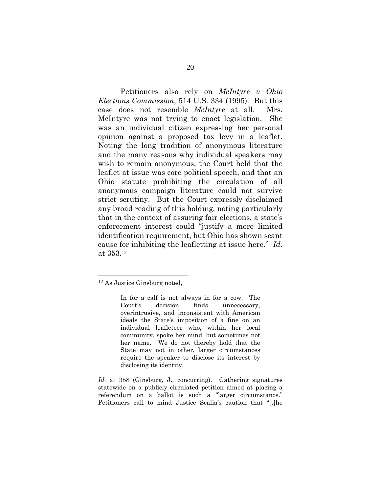Petitioners also rely on *McIntyre v Ohio Elections Commission*, 514 U.S. 334 (1995). But this case does not resemble *McIntyre* at all. Mrs. McIntyre was not trying to enact legislation. She was an individual citizen expressing her personal opinion against a proposed tax levy in a leaflet. Noting the long tradition of anonymous literature and the many reasons why individual speakers may wish to remain anonymous, the Court held that the leaflet at issue was core political speech, and that an Ohio statute prohibiting the circulation of all anonymous campaign literature could not survive strict scrutiny. But the Court expressly disclaimed any broad reading of this holding, noting particularly that in the context of assuring fair elections, a state's enforcement interest could "justify a more limited identification requirement, but Ohio has shown scant cause for inhibiting the leafletting at issue here." *Id*. at 353.<sup>12</sup>

<sup>12</sup> As Justice Ginsburg noted,

In for a calf is not always in for a cow. The Court's decision finds unnecessary, overintrusive, and inconsistent with American ideals the State's imposition of a fine on an individual leafleteer who, within her local community, spoke her mind, but sometimes not her name. We do not thereby hold that the State may not in other, larger circumstances require the speaker to disclose its interest by disclosing its identity.

*Id.* at 358 (Ginsburg, J., concurring). Gathering signatures statewide on a publicly circulated petition aimed at placing a referendum on a ballot is such a "larger circumstance." Petitioners call to mind Justice Scalia's caution that "[t]he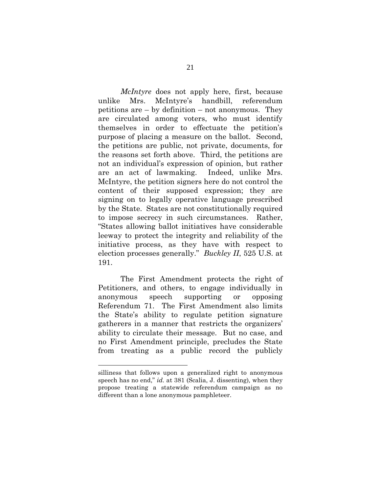*McIntyre* does not apply here, first, because unlike Mrs. McIntyre's handbill, referendum petitions are – by definition – not anonymous. They are circulated among voters, who must identify themselves in order to effectuate the petition's purpose of placing a measure on the ballot. Second, the petitions are public, not private, documents, for the reasons set forth above. Third, the petitions are not an individual's expression of opinion, but rather are an act of lawmaking. Indeed, unlike Mrs. McIntyre, the petition signers here do not control the content of their supposed expression; they are signing on to legally operative language prescribed by the State. States are not constitutionally required to impose secrecy in such circumstances. Rather, "States allowing ballot initiatives have considerable leeway to protect the integrity and reliability of the initiative process, as they have with respect to election processes generally." *Buckley II*, 525 U.S. at 191.

The First Amendment protects the right of Petitioners, and others, to engage individually in anonymous speech supporting or opposing Referendum 71. The First Amendment also limits the State's ability to regulate petition signature gatherers in a manner that restricts the organizers' ability to circulate their message. But no case, and no First Amendment principle, precludes the State from treating as a public record the publicly

silliness that follows upon a generalized right to anonymous speech has no end," *id.* at 381 (Scalia, J. dissenting)*,* when they propose treating a statewide referendum campaign as no different than a lone anonymous pamphleteer.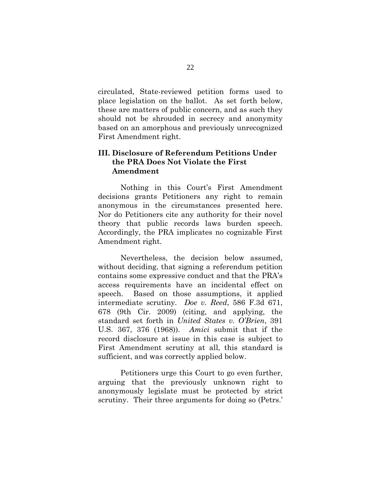circulated, State-reviewed petition forms used to place legislation on the ballot. As set forth below, these are matters of public concern, and as such they should not be shrouded in secrecy and anonymity based on an amorphous and previously unrecognized First Amendment right.

### **III. Disclosure of Referendum Petitions Under the PRA Does Not Violate the First Amendment**

Nothing in this Court's First Amendment decisions grants Petitioners any right to remain anonymous in the circumstances presented here. Nor do Petitioners cite any authority for their novel theory that public records laws burden speech. Accordingly, the PRA implicates no cognizable First Amendment right.

Nevertheless, the decision below assumed, without deciding, that signing a referendum petition contains some expressive conduct and that the PRA's access requirements have an incidental effect on speech. Based on those assumptions, it applied intermediate scrutiny. *Doe v. Reed*, 586 F.3d 671, 678 (9th Cir. 2009) (citing, and applying, the standard set forth in *United States v. O'Brien*, 391 U.S. 367, 376 (1968)). *Amici* submit that if the record disclosure at issue in this case is subject to First Amendment scrutiny at all, this standard is sufficient, and was correctly applied below.

Petitioners urge this Court to go even further, arguing that the previously unknown right to anonymously legislate must be protected by strict scrutiny. Their three arguments for doing so (Petrs.'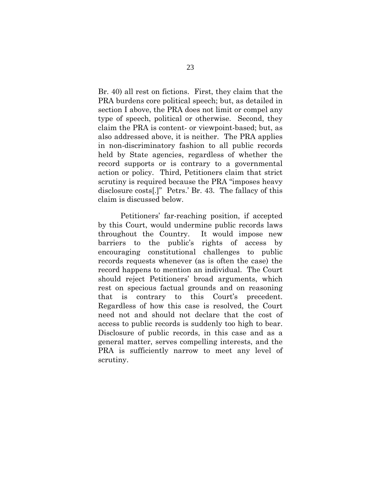Br. 40) all rest on fictions. First, they claim that the PRA burdens core political speech; but, as detailed in section I above, the PRA does not limit or compel any type of speech, political or otherwise. Second, they claim the PRA is content- or viewpoint-based; but, as also addressed above, it is neither. The PRA applies in non-discriminatory fashion to all public records held by State agencies, regardless of whether the record supports or is contrary to a governmental action or policy. Third, Petitioners claim that strict scrutiny is required because the PRA "imposes heavy disclosure costs[.]" Petrs.' Br. 43. The fallacy of this claim is discussed below.

Petitioners' far-reaching position, if accepted by this Court, would undermine public records laws throughout the Country. It would impose new barriers to the public's rights of access by encouraging constitutional challenges to public records requests whenever (as is often the case) the record happens to mention an individual. The Court should reject Petitioners' broad arguments, which rest on specious factual grounds and on reasoning that is contrary to this Court's precedent. Regardless of how this case is resolved, the Court need not and should not declare that the cost of access to public records is suddenly too high to bear. Disclosure of public records, in this case and as a general matter, serves compelling interests, and the PRA is sufficiently narrow to meet any level of scrutiny.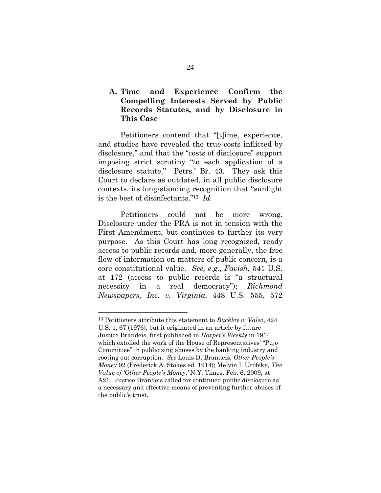### **A. Time and Experience Confirm the Compelling Interests Served by Public Records Statutes, and by Disclosure in This Case**

Petitioners contend that "[t]ime, experience, and studies have revealed the true costs inflicted by disclosure," and that the "costs of disclosure" support imposing strict scrutiny "to each application of a disclosure statute." Petrs.' Br. 43. They ask this Court to declare as outdated, in all public disclosure contexts, its long-standing recognition that "sunlight is the best of disinfectants."<sup>13</sup> *Id.* 

Petitioners could not be more wrong. Disclosure under the PRA is not in tension with the First Amendment, but continues to further its very purpose. As this Court has long recognized, ready access to public records and, more generally, the free flow of information on matters of public concern, is a core constitutional value. *See, e.g.*, *Favish*, 541 U.S. at 172 (access to public records is "a structural necessity in a real democracy"); *Richmond Newspapers, Inc. v. Virginia*, 448 U.S. 555, 572

<sup>13</sup> Petitioners attribute this statement to *Buckley v. Valeo*, 424 U.S. 1, 67 (1976), but it originated in an article by future Justice Brandeis, first published in *Harper's Weekly* in 1914, which extolled the work of the House of Representatives' "Pujo Committee" in publicizing abuses by the banking industry and rooting out corruption. *See* Louis D. Brandeis, *Other People's Money* 92 (Frederick A. Stokes ed. 1914); Melvin I. Urofsky, *The Value of 'Other People's Money*,*'* N.Y. Times, Feb. 6, 2009, at A21. Justice Brandeis called for continued public disclosure as a necessary and effective means of preventing further abuses of the public's trust.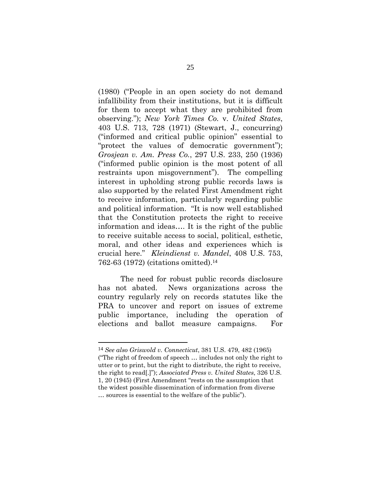(1980) ("People in an open society do not demand infallibility from their institutions, but it is difficult for them to accept what they are prohibited from observing."); *New York Times Co.* v. *United States*, 403 U.S. 713, 728 (1971) (Stewart, J., concurring) ("informed and critical public opinion" essential to "protect the values of democratic government"); *Grosjean v. Am. Press Co.*, 297 U.S. 233, 250 (1936) ("informed public opinion is the most potent of all restraints upon misgovernment"). The compelling interest in upholding strong public records laws is also supported by the related First Amendment right to receive information, particularly regarding public and political information. "It is now well established that the Constitution protects the right to receive information and ideas…. It is the right of the public to receive suitable access to social, political, esthetic, moral, and other ideas and experiences which is crucial here." *Kleindienst v. Mandel*, 408 U.S. 753, 762-63 (1972) (citations omitted).<sup>14</sup>

The need for robust public records disclosure has not abated. News organizations across the country regularly rely on records statutes like the PRA to uncover and report on issues of extreme public importance, including the operation of elections and ballot measure campaigns. For

<sup>14</sup> *See also Griswold v. Connecticut*, 381 U.S. 479, 482 (1965) ("The right of freedom of speech … includes not only the right to utter or to print, but the right to distribute, the right to receive, the right to read[.]"); *Associated Press v. United States*, 326 U.S. 1, 20 (1945) (First Amendment "rests on the assumption that the widest possible dissemination of information from diverse … sources is essential to the welfare of the public").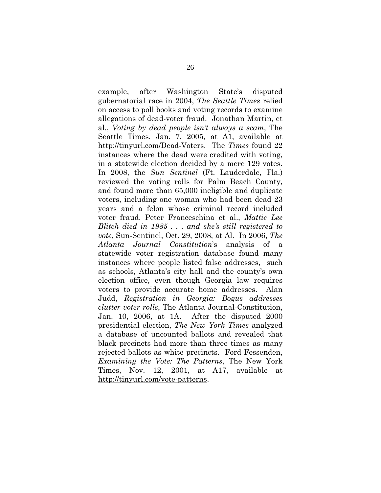example, after Washington State's disputed gubernatorial race in 2004, *The Seattle Times* relied on access to poll books and voting records to examine allegations of dead-voter fraud. Jonathan Martin, et al., *Voting by dead people isn't always a scam*, The Seattle Times, Jan. 7, 2005, at A1, available at http://tinyurl.com/Dead-Voters. The *Times* found 22 instances where the dead were credited with voting, in a statewide election decided by a mere 129 votes. In 2008, the *Sun Sentinel* (Ft. Lauderdale, Fla.) reviewed the voting rolls for Palm Beach County, and found more than 65,000 ineligible and duplicate voters, including one woman who had been dead 23 years and a felon whose criminal record included voter fraud. Peter Franceschina et al., *Mattie Lee Blitch died in 1985 . . . and she's still registered to vote*, Sun-Sentinel, Oct. 29, 2008, at Al. In 2006, *The Atlanta Journal Constitution*'s analysis of statewide voter registration database found many instances where people listed false addresses, such as schools, Atlanta's city hall and the county's own election office, even though Georgia law requires voters to provide accurate home addresses. Alan Judd, *Registration in Georgia: Bogus addresses clutter voter rolls*, The Atlanta Journal-Constitution, Jan. 10, 2006, at 1A. After the disputed 2000 presidential election, *The New York Times* analyzed a database of uncounted ballots and revealed that black precincts had more than three times as many rejected ballots as white precincts. Ford Fessenden, *Examining the Vote: The Patterns*, The New York Times, Nov. 12, 2001, at A17, available at http://tinyurl.com/vote-patterns.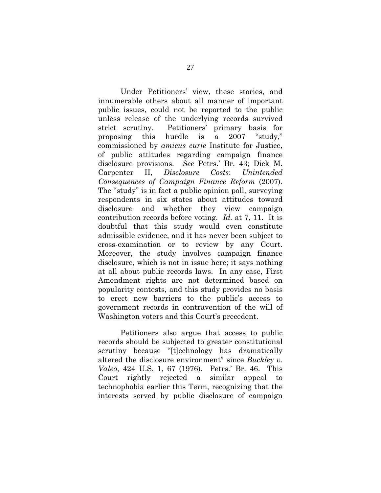Under Petitioners' view, these stories, and innumerable others about all manner of important public issues, could not be reported to the public unless release of the underlying records survived strict scrutiny. Petitioners' primary basis for proposing this hurdle is a 2007 "study," commissioned by *amicus curie* Institute for Justice, of public attitudes regarding campaign finance disclosure provisions. *See* Petrs.' Br. 43; Dick M. Carpenter II, *Disclosure Costs*: *Unintended Consequences of Campaign Finance Reform* (2007). The "study" is in fact a public opinion poll, surveying respondents in six states about attitudes toward disclosure and whether they view campaign contribution records before voting. *Id.* at 7, 11. It is doubtful that this study would even constitute admissible evidence, and it has never been subject to cross-examination or to review by any Court. Moreover, the study involves campaign finance disclosure, which is not in issue here; it says nothing at all about public records laws. In any case, First Amendment rights are not determined based on popularity contests, and this study provides no basis to erect new barriers to the public's access to government records in contravention of the will of Washington voters and this Court's precedent.

Petitioners also argue that access to public records should be subjected to greater constitutional scrutiny because "[t]echnology has dramatically altered the disclosure environment" since *Buckley v. Valeo*, 424 U.S. 1, 67 (1976). Petrs.' Br. 46. This Court rightly rejected a similar appeal technophobia earlier this Term, recognizing that the interests served by public disclosure of campaign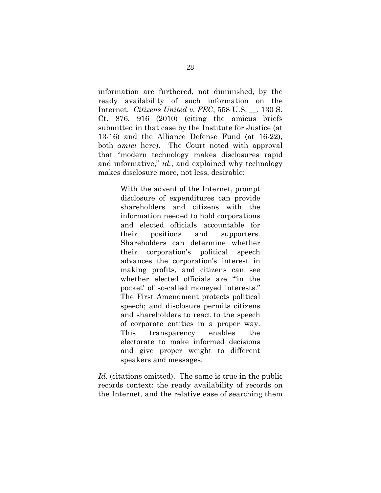information are furthered, not diminished, by the ready availability of such information on the Internet. *Citizens United v. FEC*, 558 U.S. \_\_, 130 S. Ct. 876, 916 (2010) (citing the amicus briefs submitted in that case by the Institute for Justice (at 13-16) and the Alliance Defense Fund (at 16-22), both *amici* here). The Court noted with approval that "modern technology makes disclosures rapid and informative," *id.*, and explained why technology makes disclosure more, not less, desirable:

> With the advent of the Internet, prompt disclosure of expenditures can provide shareholders and citizens with the information needed to hold corporations and elected officials accountable for their positions and supporters. Shareholders can determine whether their corporation's political speech advances the corporation's interest in making profits, and citizens can see whether elected officials are "'in the pocket' of so-called moneyed interests." The First Amendment protects political speech; and disclosure permits citizens and shareholders to react to the speech of corporate entities in a proper way. This transparency enables the electorate to make informed decisions and give proper weight to different speakers and messages.

Id. (citations omitted). The same is true in the public records context: the ready availability of records on the Internet, and the relative ease of searching them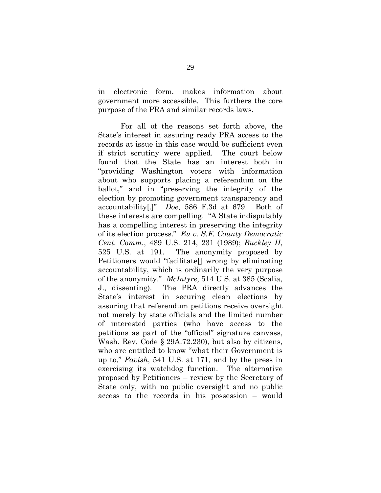in electronic form, makes information about government more accessible. This furthers the core purpose of the PRA and similar records laws.

For all of the reasons set forth above, the State's interest in assuring ready PRA access to the records at issue in this case would be sufficient even if strict scrutiny were applied. The court below found that the State has an interest both in "providing Washington voters with information about who supports placing a referendum on the ballot," and in "preserving the integrity of the election by promoting government transparency and accountability[.]" *Doe*, 586 F.3d at 679. Both of these interests are compelling. "A State indisputably has a compelling interest in preserving the integrity of its election process." *Eu v. S.F. County Democratic Cent. Comm.*, 489 U.S. 214, 231 (1989); *Buckley II*, 525 U.S. at 191. The anonymity proposed by Petitioners would "facilitate[] wrong by eliminating accountability, which is ordinarily the very purpose of the anonymity." *McIntyre*, 514 U.S. at 385 (Scalia, J., dissenting). The PRA directly advances the State's interest in securing clean elections by assuring that referendum petitions receive oversight not merely by state officials and the limited number of interested parties (who have access to the petitions as part of the "official" signature canvass, Wash. Rev. Code § 29A.72.230), but also by citizens, who are entitled to know "what their Government is up to," *Favish*, 541 U.S. at 171, and by the press in exercising its watchdog function. The alternative proposed by Petitioners – review by the Secretary of State only, with no public oversight and no public access to the records in his possession – would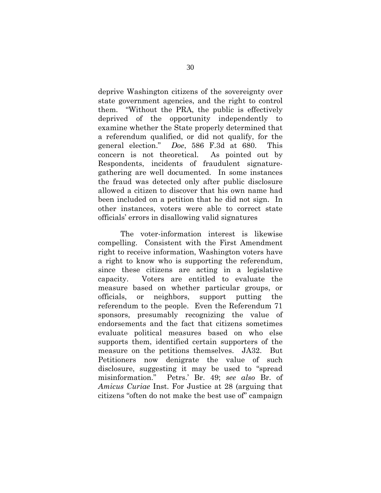deprive Washington citizens of the sovereignty over state government agencies, and the right to control them. "Without the PRA, the public is effectively deprived of the opportunity independently to examine whether the State properly determined that a referendum qualified, or did not qualify, for the general election." *Doe*, 586 F.3d at 680. This concern is not theoretical. As pointed out by Respondents, incidents of fraudulent signaturegathering are well documented. In some instances the fraud was detected only after public disclosure allowed a citizen to discover that his own name had been included on a petition that he did not sign. In other instances, voters were able to correct state officials' errors in disallowing valid signatures

The voter-information interest is likewise compelling. Consistent with the First Amendment right to receive information, Washington voters have a right to know who is supporting the referendum, since these citizens are acting in a legislative capacity. Voters are entitled to evaluate the measure based on whether particular groups, or officials, or neighbors, support putting the referendum to the people. Even the Referendum 71 sponsors, presumably recognizing the value of endorsements and the fact that citizens sometimes evaluate political measures based on who else supports them, identified certain supporters of the measure on the petitions themselves. JA32. But Petitioners now denigrate the value of such disclosure, suggesting it may be used to "spread misinformation." Petrs.' Br. 49; *see also* Br. of *Amicus Curiae* Inst. For Justice at 28 (arguing that citizens "often do not make the best use of" campaign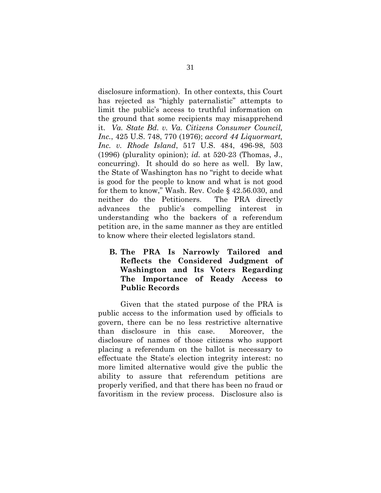disclosure information). In other contexts, this Court has rejected as "highly paternalistic" attempts to limit the public's access to truthful information on the ground that some recipients may misapprehend it. *Va. State Bd. v. Va. Citizens Consumer Council, Inc.*, 425 U.S. 748, 770 (1976); *accord 44 Liquormart, Inc. v. Rhode Island*, 517 U.S. 484, 496-98, 503 (1996) (plurality opinion); *id.* at 520-23 (Thomas, J., concurring). It should do so here as well. By law, the State of Washington has no "right to decide what is good for the people to know and what is not good for them to know," Wash. Rev. Code § 42.56.030, and neither do the Petitioners. The PRA directly advances the public's compelling interest in understanding who the backers of a referendum petition are, in the same manner as they are entitled to know where their elected legislators stand.

**B. The PRA Is Narrowly Tailored and Reflects the Considered Judgment of Washington and Its Voters Regarding The Importance of Ready Access to Public Records** 

Given that the stated purpose of the PRA is public access to the information used by officials to govern, there can be no less restrictive alternative than disclosure in this case. Moreover, the disclosure of names of those citizens who support placing a referendum on the ballot is necessary to effectuate the State's election integrity interest: no more limited alternative would give the public the ability to assure that referendum petitions are properly verified, and that there has been no fraud or favoritism in the review process. Disclosure also is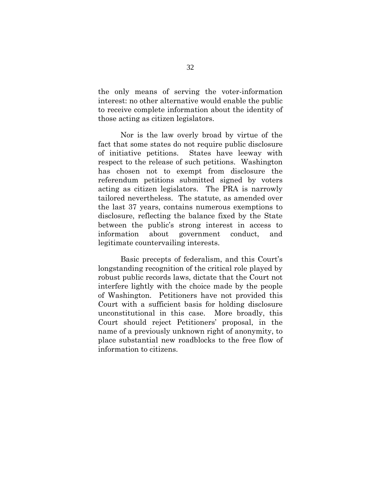the only means of serving the voter-information interest: no other alternative would enable the public to receive complete information about the identity of those acting as citizen legislators.

Nor is the law overly broad by virtue of the fact that some states do not require public disclosure of initiative petitions. States have leeway with respect to the release of such petitions. Washington has chosen not to exempt from disclosure the referendum petitions submitted signed by voters acting as citizen legislators. The PRA is narrowly tailored nevertheless. The statute, as amended over the last 37 years, contains numerous exemptions to disclosure, reflecting the balance fixed by the State between the public's strong interest in access to information about government conduct, and legitimate countervailing interests.

Basic precepts of federalism, and this Court's longstanding recognition of the critical role played by robust public records laws, dictate that the Court not interfere lightly with the choice made by the people of Washington. Petitioners have not provided this Court with a sufficient basis for holding disclosure unconstitutional in this case. More broadly, this Court should reject Petitioners' proposal, in the name of a previously unknown right of anonymity, to place substantial new roadblocks to the free flow of information to citizens.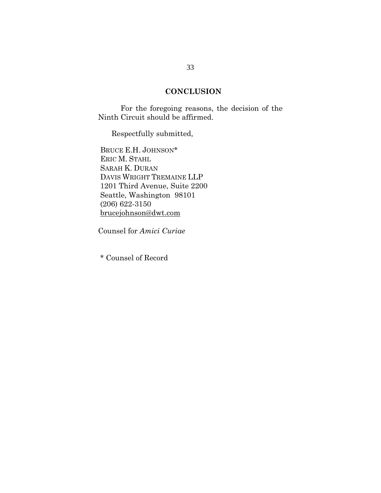### **CONCLUSION**

For the foregoing reasons, the decision of the Ninth Circuit should be affirmed.

Respectfully submitted,

BRUCE E.H. JOHNSON\* ERIC M. STAHL SARAH K. DURAN DAVIS WRIGHT TREMAINE LLP 1201 Third Avenue, Suite 2200 Seattle, Washington 98101 (206) 622-3150 brucejohnson@dwt.com

Counsel for *Amici Curiae*

\* Counsel of Record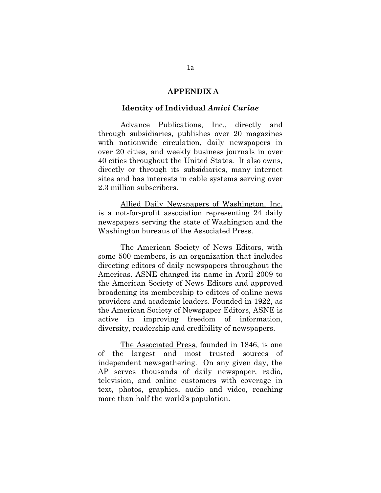#### **APPENDIX A**

#### **Identity of Individual** *Amici Curiae*

Advance Publications, Inc., directly and through subsidiaries, publishes over 20 magazines with nationwide circulation, daily newspapers in over 20 cities, and weekly business journals in over 40 cities throughout the United States. It also owns, directly or through its subsidiaries, many internet sites and has interests in cable systems serving over 2.3 million subscribers.

Allied Daily Newspapers of Washington, Inc. is a not-for-profit association representing 24 daily newspapers serving the state of Washington and the Washington bureaus of the Associated Press.

The American Society of News Editors, with some 500 members, is an organization that includes directing editors of daily newspapers throughout the Americas. ASNE changed its name in April 2009 to the American Society of News Editors and approved broadening its membership to editors of online news providers and academic leaders. Founded in 1922, as the American Society of Newspaper Editors, ASNE is active in improving freedom of information, diversity, readership and credibility of newspapers.

The Associated Press, founded in 1846, is one of the largest and most trusted sources of independent newsgathering. On any given day, the AP serves thousands of daily newspaper, radio, television, and online customers with coverage in text, photos, graphics, audio and video, reaching more than half the world's population.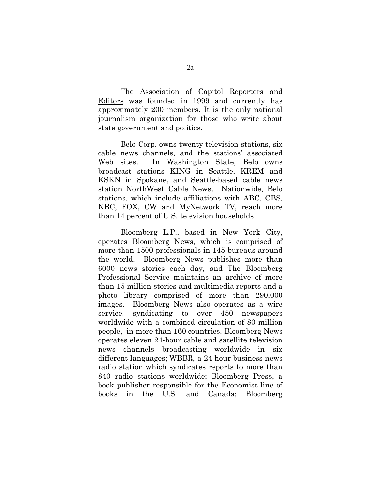The Association of Capitol Reporters and Editors was founded in 1999 and currently has approximately 200 members. It is the only national journalism organization for those who write about state government and politics.

Belo Corp. owns twenty television stations, six cable news channels, and the stations' associated Web sites. In Washington State, Belo owns broadcast stations KING in Seattle, KREM and KSKN in Spokane, and Seattle-based cable news station NorthWest Cable News. Nationwide, Belo stations, which include affiliations with ABC, CBS, NBC, FOX, CW and MyNetwork TV, reach more than 14 percent of U.S. television households

Bloomberg L.P., based in New York City, operates Bloomberg News, which is comprised of more than 1500 professionals in 145 bureaus around the world. Bloomberg News publishes more than 6000 news stories each day, and The Bloomberg Professional Service maintains an archive of more than 15 million stories and multimedia reports and a photo library comprised of more than 290,000 images. Bloomberg News also operates as a wire service, syndicating to over 450 newspapers worldwide with a combined circulation of 80 million people, in more than 160 countries. Bloomberg News operates eleven 24-hour cable and satellite television news channels broadcasting worldwide in six different languages; WBBR, a 24-hour business news radio station which syndicates reports to more than 840 radio stations worldwide; Bloomberg Press, a book publisher responsible for the Economist line of books in the U.S. and Canada; Bloomberg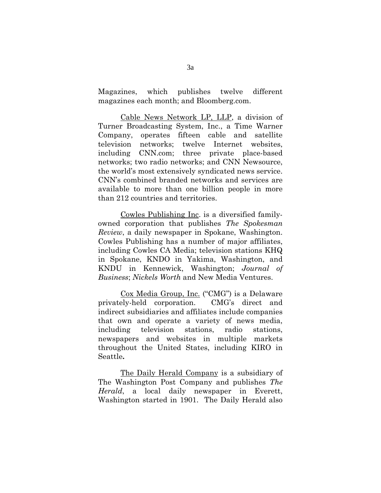Magazines, which publishes twelve different magazines each month; and Bloomberg.com.

Cable News Network LP, LLP, a division of Turner Broadcasting System, Inc., a Time Warner Company, operates fifteen cable and satellite television networks; twelve Internet websites, including CNN.com; three private place-based networks; two radio networks; and CNN Newsource, the world's most extensively syndicated news service. CNN's combined branded networks and services are available to more than one billion people in more than 212 countries and territories.

Cowles Publishing Inc. is a diversified familyowned corporation that publishes *The Spokesman Review*, a daily newspaper in Spokane, Washington. Cowles Publishing has a number of major affiliates, including Cowles CA Media; television stations KHQ in Spokane, KNDO in Yakima, Washington, and KNDU in Kennewick, Washington; *Journal of Business*; *Nickels Worth* and New Media Ventures.

Cox Media Group, Inc. ("CMG") is a Delaware privately-held corporation. CMG's direct and indirect subsidiaries and affiliates include companies that own and operate a variety of news media, including television stations, radio stations, newspapers and websites in multiple markets throughout the United States, including KIRO in Seattle**.**

The Daily Herald Company is a subsidiary of The Washington Post Company and publishes *The Herald*, a local daily newspaper in Everett, Washington started in 1901. The Daily Herald also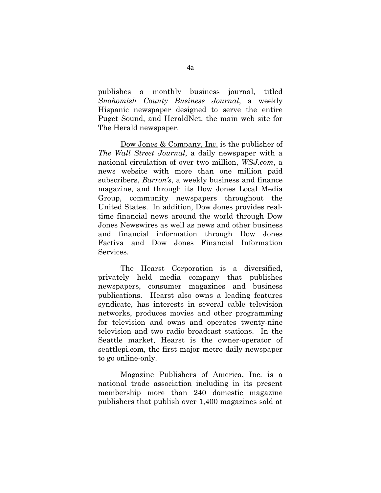publishes a monthly business journal, titled *Snohomish County Business Journal*, a weekly Hispanic newspaper designed to serve the entire Puget Sound, and HeraldNet, the main web site for The Herald newspaper.

Dow Jones & Company, Inc. is the publisher of *The Wall Street Journal*, a daily newspaper with a national circulation of over two million, *WSJ.com*, a news website with more than one million paid subscribers, *Barron's*, a weekly business and finance magazine, and through its Dow Jones Local Media Group, community newspapers throughout the United States. In addition, Dow Jones provides realtime financial news around the world through Dow Jones Newswires as well as news and other business and financial information through Dow Jones Factiva and Dow Jones Financial Information Services.

The Hearst Corporation is a diversified, privately held media company that publishes newspapers, consumer magazines and business publications. Hearst also owns a leading features syndicate, has interests in several cable television networks, produces movies and other programming for television and owns and operates twenty-nine television and two radio broadcast stations. In the Seattle market, Hearst is the owner-operator of seattlepi.com, the first major metro daily newspaper to go online-only.

Magazine Publishers of America, Inc. is a national trade association including in its present membership more than 240 domestic magazine publishers that publish over 1,400 magazines sold at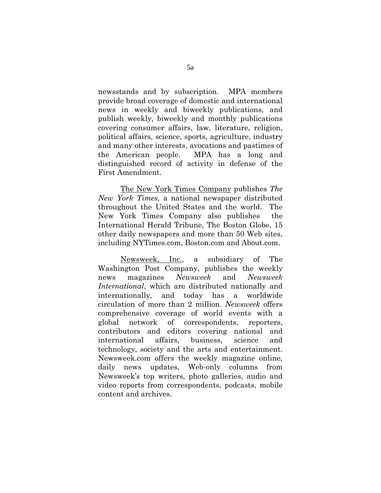newsstands and by subscription. MPA members provide broad coverage of domestic and international news in weekly and biweekly publications, and publish weekly, biweekly and monthly publications covering consumer affairs, law, literature, religion, political affairs, science, sports, agriculture, industry and many other interests, avocations and pastimes of the American people. MPA has a long and distinguished record of activity in defense of the First Amendment.

The New York Times Company publishes *The New York Times,* a national newspaper distributed throughout the United States and the world. The New York Times Company also publishes the International Herald Tribune, The Boston Globe, 15 other daily newspapers and more than 50 Web sites, including NYTimes.com, Boston.com and About.com.

Newsweek, Inc., a subsidiary of The Washington Post Company, publishes the weekly news magazines *Newsweek* and *Newsweek International*, which are distributed nationally and internationally, and today has a worldwide circulation of more than 2 million. *Newsweek* offers comprehensive coverage of world events with a global network of correspondents, reporters, contributors and editors covering national and international affairs, business, science and technology, society and the arts and entertainment. Newsweek.com offers the weekly magazine online, daily news updates, Web-only columns from Newsweek's top writers, photo galleries, audio and video reports from correspondents, podcasts, mobile content and archives.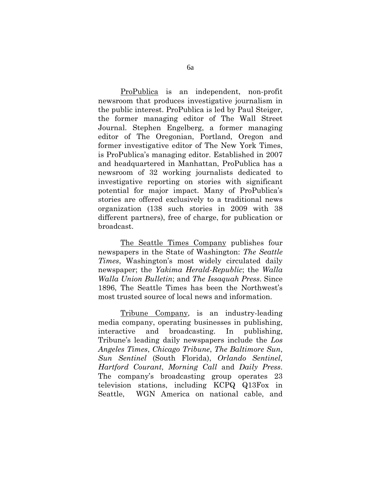ProPublica is an independent, non-profit newsroom that produces investigative journalism in the public interest. ProPublica is led by Paul Steiger, the former managing editor of The Wall Street Journal. Stephen Engelberg, a former managing editor of The Oregonian, Portland, Oregon and former investigative editor of The New York Times, is ProPublica's managing editor. Established in 2007 and headquartered in Manhattan, ProPublica has a newsroom of 32 working journalists dedicated to investigative reporting on stories with significant potential for major impact. Many of ProPublica's stories are offered exclusively to a traditional news organization (138 such stories in 2009 with 38 different partners), free of charge, for publication or broadcast.

The Seattle Times Company publishes four newspapers in the State of Washington: *The Seattle Times*, Washington's most widely circulated daily newspaper; the *Yakima Herald-Republic*; the *Walla Walla Union Bulletin*; and *The Issaquah Press*. Since 1896, The Seattle Times has been the Northwest's most trusted source of local news and information.

Tribune Company, is an industry-leading media company, operating businesses in publishing, interactive and broadcasting. In publishing, Tribune's leading daily newspapers include the *Los Angeles Times*, *Chicago Tribune*, *The Baltimore Sun*, *Sun Sentinel* (South Florida), *Orlando Sentinel*, *Hartford Courant*, *Morning Call* and *Daily Press*. The company's broadcasting group operates 23 television stations, including KCPQ Q13Fox in Seattle, WGN America on national cable, and